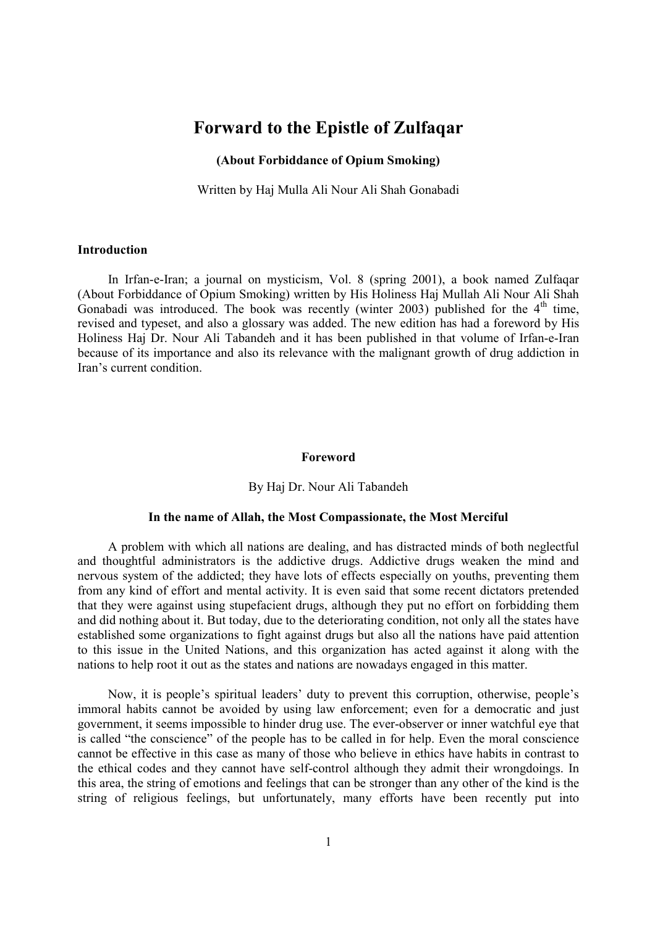# **Forward to the Epistle of Zulfaqar**

## **(About Forbiddance of Opium Smoking)**

Written by Haj Mulla Ali Nour Ali Shah Gonabadi

## **Introduction**

In Irfan-e-Iran; a journal on mysticism, Vol. 8 (spring 2001), a book named Zulfaqar (About Forbiddance of Opium Smoking) written by His Holiness Haj Mullah Ali Nour Ali Shah Gonabadi was introduced. The book was recently (winter 2003) published for the  $4<sup>th</sup>$  time, revised and typeset, and also a glossary was added. The new edition has had a foreword by His Holiness Haj Dr. Nour Ali Tabandeh and it has been published in that volume of Irfan-e-Iran because of its importance and also its relevance with the malignant growth of drug addiction in Iran's current condition.

#### **Foreword**

#### By Haj Dr. Nour Ali Tabandeh

### **In the name of Allah, the Most Compassionate, the Most Merciful**

A problem with which all nations are dealing, and has distracted minds of both neglectful and thoughtful administrators is the addictive drugs. Addictive drugs weaken the mind and nervous system of the addicted; they have lots of effects especially on youths, preventing them from any kind of effort and mental activity. It is even said that some recent dictators pretended that they were against using stupefacient drugs, although they put no effort on forbidding them and did nothing about it. But today, due to the deteriorating condition, not only all the states have established some organizations to fight against drugs but also all the nations have paid attention to this issue in the United Nations, and this organization has acted against it along with the nations to help root it out as the states and nations are nowadays engaged in this matter.

Now, it is people's spiritual leaders' duty to prevent this corruption, otherwise, people's immoral habits cannot be avoided by using law enforcement; even for a democratic and just government, it seems impossible to hinder drug use. The ever-observer or inner watchful eye that is called "the conscience" of the people has to be called in for help. Even the moral conscience cannot be effective in this case as many of those who believe in ethics have habits in contrast to the ethical codes and they cannot have self-control although they admit their wrongdoings. In this area, the string of emotions and feelings that can be stronger than any other of the kind is the string of religious feelings, but unfortunately, many efforts have been recently put into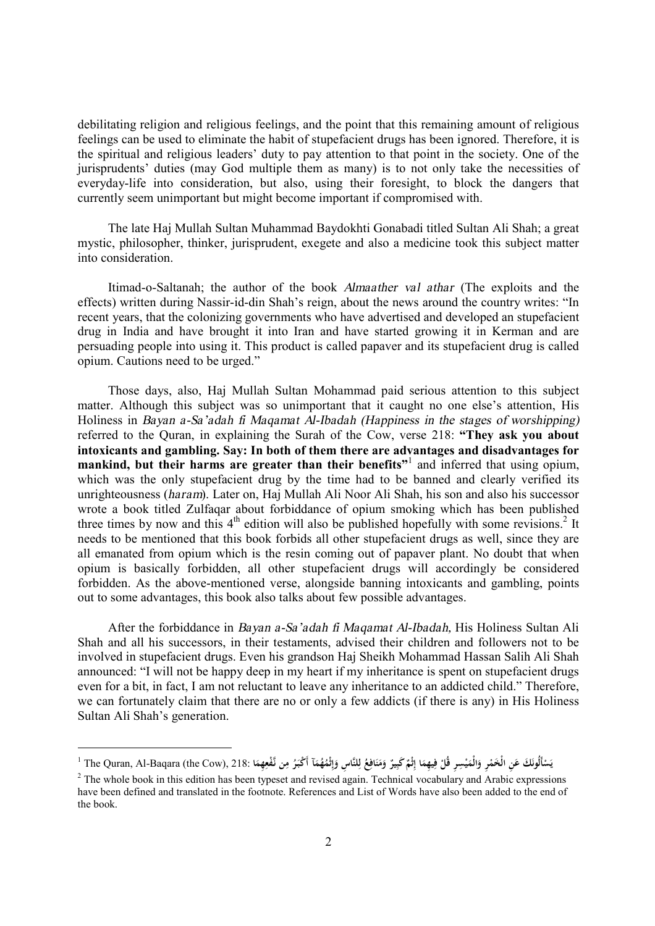debilitating religion and religious feelings, and the point that this remaining amount of religious feelings can be used to eliminate the habit of stupefacient drugs has been ignored. Therefore, it is the spiritual and religious leaders' duty to pay attention to that point in the society. One of the jurisprudents' duties (may God multiple them as many) is to not only take the necessities of everyday-life into consideration, but also, using their foresight, to block the dangers that currently seem unimportant but might become important if compromised with.

The late Haj Mullah Sultan Muhammad Baydokhti Gonabadi titled Sultan Ali Shah; a great mystic, philosopher, thinker, jurisprudent, exegete and also a medicine took this subject matter into consideration.

Itimad-o-Saltanah; the author of the book *Almaather val athar* (The exploits and the effects) written during Nassir-id-din Shah's reign, about the news around the country writes: "In recent years, that the colonizing governments who have advertised and developed an stupefacient drug in India and have brought it into Iran and have started growing it in Kerman and are persuading people into using it. This product is called papaver and its stupefacient drug is called opium. Cautions need to be urged."

Those days, also, Haj Mullah Sultan Mohammad paid serious attention to this subject matter. Although this subject was so unimportant that it caught no one else's attention, His Holiness in *Bayan a-Sa'adah fi Maqamat Al-Ibadah (Happiness in the stages of worshipping)* referred to the Quran, in explaining the Surah of the Cow, verse 218: **"They ask you about intoxicants and gambling. Say: In both of them there are advantages and disadvantages for mankind, but their harms are greater than their benefits"** 1 and inferred that using opium, which was the only stupefacient drug by the time had to be banned and clearly verified its unrighteousness (*haram*). Later on, Haj Mullah Ali Noor Ali Shah, his son and also his successor wrote a book titled Zulfaqar about forbiddance of opium smoking which has been published three times by now and this  $4<sup>th</sup>$  edition will also be published hopefully with some revisions.<sup>2</sup> It needs to be mentioned that this book forbids all other stupefacient drugs as well, since they are all emanated from opium which is the resin coming out of papaver plant. No doubt that when opium is basically forbidden, all other stupefacient drugs will accordingly be considered forbidden. As the above-mentioned verse, alongside banning intoxicants and gambling, points out to some advantages, this book also talks about few possible advantages.

After the forbiddance in *Bayan a-Sa'adah fi Maqamat Al-Ibadah,* His Holiness Sultan Ali Shah and all his successors, in their testaments, advised their children and followers not to be involved in stupefacient drugs. Even his grandson Haj Sheikh Mohammad Hassan Salih Ali Shah announced: "I will not be happy deep in my heart if my inheritance is spent on stupefacient drugs even for a bit, in fact, I am not reluctant to leave any inheritance to an addicted child." Therefore, we can fortunately claim that there are no or only a few addicts (if there is any) in His Holiness Sultan Ali Shah's generation.

l

<sup>&</sup>lt;sup>1</sup> The Quran, Al-Baqara (the Cow), 218: تَجْبَرُ وَمَنَافِعُ لِلنَّاسِ وَإِثْمُهُمَآ أَكْبَرُ مِن نَّفْعِهِمَا كُلْفَتَامِ وَإِثْمُهُمَّةَ أَكْبَرُ مِن نَّفْعِهِمَا 218: <sup>1</sup> The Quran, Al-Baqara (the Cow), 218: فَالْ **ِ َ ِ إ َ ل ِ َ َ َ ِ َ ِ ْ ْ َ َ ْ َ ْ َ ِ**

<sup>&</sup>lt;sup>2</sup> The whole book in this edition has been typeset and revised again. Technical vocabulary and Arabic expressions have been defined and translated in the footnote. References and List of Words have also been added to the end of the book.